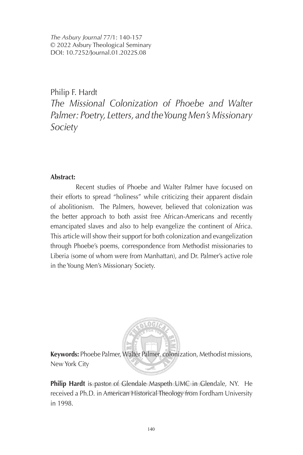*The Asbury Journal* 77/1: 140-157 © 2022 Asbury Theological Seminary DOI: 10.7252/Journal.01.2022S.08

Philip F. Hardt

*The Missional Colonization of Phoebe and Walter Palmer: Poetry, Letters, and the Young Men's Missionary Society* 

# **Abstract:**

Recent studies of Phoebe and Walter Palmer have focused on their efforts to spread "holiness" while criticizing their apparent disdain of abolitionism. The Palmers, however, believed that colonization was the better approach to both assist free African-Americans and recently emancipated slaves and also to help evangelize the continent of Africa. This article will show their support for both colonization and evangelization through Phoebe's poems, correspondence from Methodist missionaries to Liberia (some of whom were from Manhattan), and Dr. Palmer's active role in the Young Men's Missionary Society.



**Keywords:** Phoebe Palmer, Walter Palmer, colonization, Methodist missions, New York City

**Philip Hardt** is pastor of Glendale Maspeth UMC in Sclendale, NY. He received a Ph.D. in American Historical Theology from Fordham University in 1998.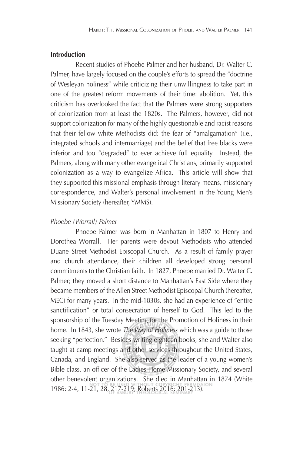# **Introduction**

Recent studies of Phoebe Palmer and her husband, Dr. Walter C. Palmer, have largely focused on the couple's efforts to spread the "doctrine of Wesleyan holiness" while criticizing their unwillingness to take part in one of the greatest reform movements of their time: abolition. Yet, this criticism has overlooked the fact that the Palmers were strong supporters of colonization from at least the 1820s. The Palmers, however, did not support colonization for many of the highly questionable and racist reasons that their fellow white Methodists did: the fear of "amalgamation" (i.e., integrated schools and intermarriage) and the belief that free blacks were inferior and too "degraded" to ever achieve full equality. Instead, the Palmers, along with many other evangelical Christians, primarily supported colonization as a way to evangelize Africa. This article will show that they supported this missional emphasis through literary means, missionary correspondence, and Walter's personal involvement in the Young Men's Missionary Society (hereafter, YMMS).

## *Phoebe (Worrall) Palmer*

Phoebe Palmer was born in Manhattan in 1807 to Henry and Dorothea Worrall. Her parents were devout Methodists who attended Duane Street Methodist Episcopal Church. As a result of family prayer and church attendance, their children all developed strong personal commitments to the Christian faith. In 1827, Phoebe married Dr. Walter C. Palmer; they moved a short distance to Manhattan's East Side where they became members of the Allen Street Methodist Episcopal Church (hereafter, MEC) for many years. In the mid-1830s, she had an experience of "entire sanctification" or total consecration of herself to God. This led to the sponsorship of the Tuesday Meeting for the Promotion of Holiness in their home. In 1843, she wrote *The Way of Holiness* which was a guide to those seeking "perfection." Besides writing eighteen books, she and Walter also taught at camp meetings and other services throughout the United States, Canada, and England. She also served as the leader of a young women's Bible class, an officer of the Ladies Home Missionary Society, and several other benevolent organizations. She died in Manhattan in 1874 (White 1986: 2-4, 11-21, 28, 217-219; Roberts 2016: 201-213).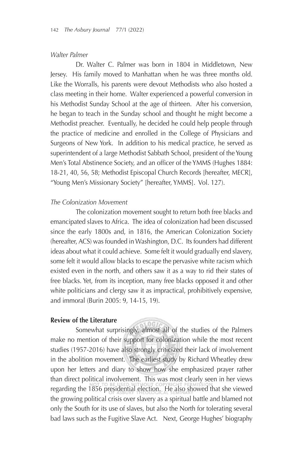# *Walter Palmer*

Dr. Walter C. Palmer was born in 1804 in Middletown, New Jersey. His family moved to Manhattan when he was three months old. Like the Worralls, his parents were devout Methodists who also hosted a class meeting in their home. Walter experienced a powerful conversion in his Methodist Sunday School at the age of thirteen. After his conversion, he began to teach in the Sunday school and thought he might become a Methodist preacher. Eventually, he decided he could help people through the practice of medicine and enrolled in the College of Physicians and Surgeons of New York. In addition to his medical practice, he served as superintendent of a large Methodist Sabbath School, president of the Young Men's Total Abstinence Society, and an officer of the YMMS (Hughes 1884: 18-21, 40, 56, 58; Methodist Episcopal Church Records [hereafter, MECR], "Young Men's Missionary Society" [hereafter, YMMS]. Vol. 127).

#### *The Colonization Movement*

The colonization movement sought to return both free blacks and emancipated slaves to Africa. The idea of colonization had been discussed since the early 1800s and, in 1816, the American Colonization Society (hereafter, ACS) was founded in Washington, D.C. Its founders had different ideas about what it could achieve. Some felt it would gradually end slavery, some felt it would allow blacks to escape the pervasive white racism which existed even in the north, and others saw it as a way to rid their states of free blacks. Yet, from its inception, many free blacks opposed it and other white politicians and clergy saw it as impractical, prohibitively expensive, and immoral (Burin 2005: 9, 14-15, 19).

# **Review of the Literature**

Somewhat surprisingly, almost all of the studies of the Palmers make no mention of their support for colonization while the most recent studies (1957-2016) have also strongly criticized their lack of involvement in the abolition movement. The earliest study by Richard Wheatley drew upon her letters and diary to show how she emphasized prayer rather than direct political involvement. This was most clearly seen in her views regarding the 1856 presidential election. He also showed that she viewed the growing political crisis over slavery as a spiritual battle and blamed not only the South for its use of slaves, but also the North for tolerating several bad laws such as the Fugitive Slave Act. Next, George Hughes' biography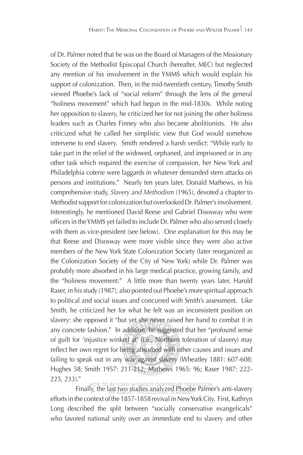of Dr. Palmer noted that he was on the Board of Managers of the Missionary Society of the Methodist Episcopal Church (hereafter, MEC) but neglected any mention of his involvement in the YMMS which would explain his support of colonization. Then, in the mid-twentieth century, Timothy Smith viewed Phoebe's lack of "social reform" through the lens of the general "holiness movement" which had begun in the mid-1830s. While noting her opposition to slavery, he criticized her for not joining the other holiness leaders such as Charles Finney who also became abolitionists. He also criticized what he called her simplistic view that God would somehow intervene to end slavery. Smith rendered a harsh verdict: "While early to take part in the relief of the widowed, orphaned, and imprisoned or in any other task which required the exercise of compassion, her New York and Philadelphia coterie were laggards in whatever demanded stern attacks on persons and institutions." Nearly ten years later, Donald Mathews, in his comprehensive study, *Slavery and Methodism* (1965), devoted a chapter to Methodist support for colonization but overlooked Dr. Palmer's involvement. Interestingly, he mentioned David Reese and Gabriel Disosway who were officers in the YMMS yet failed to include Dr. Palmer who also served closely with them as vice-president (see below). One explanation for this may be that Reese and Disosway were more visible since they were also active members of the New York State Colonization Society (later reorganized as the Colonization Society of the City of New York) while Dr. Palmer was probably more absorbed in his large medical practice, growing family, and the "holiness movement." A little more than twenty years later, Harold Raser, in his study (1987), also pointed out Phoebe's more spiritual approach to political and social issues and concurred with Smith's assessment. Like Smith, he criticized her for what he felt was an inconsistent position on slavery: she opposed it "but yet she never raised her hand to combat it in any concrete fashion." In addition, he suggested that her "profound sense of guilt for 'injustice winked at' (i.e., Northern toleration of slavery) may reflect her own regret for being absorbed with other causes and issues and failing to speak out in any way against slavery (Wheatley 1881: 607-608; Hughes 58; Smith 1957: 211-212; Mathews 1965: 96; Raser 1987: 222- 225, 233)."

Finally, the last two studies analyzed Phoebe Palmer's anti-slavery

efforts in the context of the 1857-1858 revival in New York City. First, Kathryn Long described the split between "socially conservative evangelicals" who favored national unity over an immediate end to slavery and other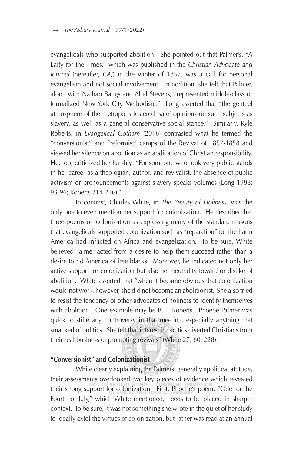evangelicals who supported abolition. She pointed out that Palmer's, "A Laity for the Times," which was published in the *Christian Advocate and Journal* (hereafter, *CAJ*) in the winter of 1857, was a call for personal evangelism and not social involvement. In addition, she felt that Palmer, along with Nathan Bangs and Abel Stevens, "represented middle-class or formalized New York City Methodism." Long asserted that "the genteel atmosphere of the metropolis fostered 'safe' opinions on such subjects as slavery, as well as a general conservative social stance." Similarly, Kyle Roberts, in *Evangelical Gotham* (2016) contrasted what he termed the "conversionist" and "reformist" camps of the Revival of 1857-1858 and viewed her silence on abolition as an abdication of Christian responsibility. He, too, criticized her harshly: "For someone who took very public stands in her career as a theologian, author, and revivalist, the absence of public activism or pronouncements against slavery speaks volumes (Long 1998: 93-96; Roberts 214-216)."

In contrast, Charles White, in *The Beauty of Holiness*, was the only one to even mention her support for colonization. He described her three poems on colonization as expressing many of the standard reasons that evangelicals supported colonization such as "reparation" for the harm America had inflicted on Africa and evangelization. To be sure, White believed Palmer acted from a desire to help them succeed rather than a desire to rid America of free blacks. Moreover, he indicated not only her active support for colonization but also her neutrality toward or dislike of abolition. White asserted that "when it became obvious that colonization would not work, however, she did not become an abolitionist. She also tried to resist the tendency of other advocates of holiness to identify themselves with abolition. One example may be B. T. Roberts…Phoebe Palmer was quick to stifle any controversy in that meeting, especially anything that smacked of politics. She felt that interest in politics diverted Christians from their real business of promoting revivals" (White 27, 60, 228).

## **"Conversionist" and Colonizationist**

While clearly explaining the Palmers' generally apolitical attitude, their assessments overlooked two key pieces of evidence which revealed their strong support for colonization. First, Phoebe's poem, "Ode for the Fourth of July," which White mentioned, needs to be placed in sharper context. To be sure, it was not something she wrote in the quiet of her study to ideally extol the virtues of colonization, but rather was read at an annual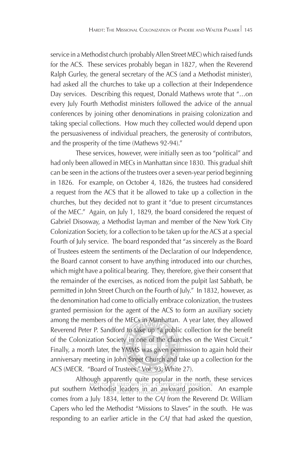service in a Methodist church (probably Allen Street MEC) which raised funds for the ACS. These services probably began in 1827, when the Reverend Ralph Gurley, the general secretary of the ACS (and a Methodist minister), had asked all the churches to take up a collection at their Independence Day services. Describing this request, Donald Mathews wrote that "…on every July Fourth Methodist ministers followed the advice of the annual conferences by joining other denominations in praising colonization and taking special collections. How much they collected would depend upon the persuasiveness of individual preachers, the generosity of contributors, and the prosperity of the time (Mathews 92-94)."

These services, however, were initially seen as too "political" and had only been allowed in MECs in Manhattan since 1830. This gradual shift can be seen in the actions of the trustees over a seven-year period beginning in 1826. For example, on October 4, 1826, the trustees had considered a request from the ACS that it be allowed to take up a collection in the churches, but they decided not to grant it "due to present circumstances of the MEC." Again, on July 1, 1829, the board considered the request of Gabriel Disosway, a Methodist layman and member of the New York City Colonization Society, for a collection to be taken up for the ACS at a special Fourth of July service. The board responded that "as sincerely as the Board of Trustees esteem the sentiments of the Declaration of our Independence, the Board cannot consent to have anything introduced into our churches, which might have a political bearing. They, therefore, give their consent that the remainder of the exercises, as noticed from the pulpit last Sabbath, be permitted in John Street Church on the Fourth of July." In 1832, however, as the denomination had come to officially embrace colonization, the trustees granted permission for the agent of the ACS to form an auxiliary society among the members of the MECs in Manhattan. A year later, they allowed Reverend Peter P. Sandford to take up "a public collection for the benefit of the Colonization Society in one of the churches on the West Circuit." Finally, a month later, the YMMS was given permission to again hold their anniversary meeting in John Street Church and take up a collection for the ACS (MECR. "Board of Trustees." Vol. 93; White 27).

Although apparently quite popular in the north, these services put southern Methodist leaders in an awkward position. An example comes from a July 1834, letter to the *CAJ* from the Reverend Dr. William Capers who led the Methodist "Missions to Slaves" in the south. He was responding to an earlier article in the *CAJ* that had asked the question,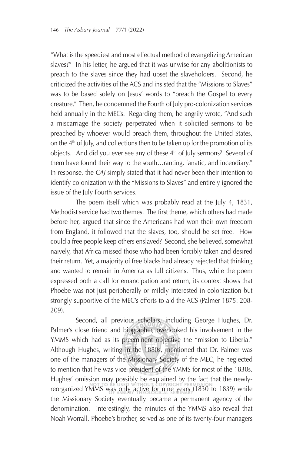"What is the speediest and most effectual method of evangelizing American slaves?" In his letter, he argued that it was unwise for any abolitionists to preach to the slaves since they had upset the slaveholders. Second, he criticized the activities of the ACS and insisted that the "Missions to Slaves" was to be based solely on Jesus' words to "preach the Gospel to every creature." Then, he condemned the Fourth of July pro-colonization services held annually in the MECs. Regarding them, he angrily wrote, "And such a miscarriage the society perpetrated when it solicited sermons to be preached by whoever would preach them, throughout the United States, on the  $4<sup>th</sup>$  of July, and collections then to be taken up for the promotion of its objects...And did you ever see any of these  $4<sup>th</sup>$  of July sermons? Several of them have found their way to the south…ranting, fanatic, and incendiary." In response, the *CAJ* simply stated that it had never been their intention to identify colonization with the "Missions to Slaves" and entirely ignored the issue of the July Fourth services.

The poem itself which was probably read at the July 4, 1831, Methodist service had two themes. The first theme, which others had made before her, argued that since the Americans had won their own freedom from England, it followed that the slaves, too, should be set free. How could a free people keep others enslaved? Second, she believed, somewhat naively, that Africa missed those who had been forcibly taken and desired their return. Yet, a majority of free blacks had already rejected that thinking and wanted to remain in America as full citizens. Thus, while the poem expressed both a call for emancipation and return, its context shows that Phoebe was not just peripherally or mildly interested in colonization but strongly supportive of the MEC's efforts to aid the ACS (Palmer 1875: 208- 209).

Second, all previous scholars, including George Hughes, Dr. Palmer's close friend and biographer, overlooked his involvement in the YMMS which had as its preeminent objective the "mission to Liberia." Although Hughes, writing in the 1880s, mentioned that Dr. Palmer was one of the managers of the Missionary Society of the MEC, he neglected to mention that he was vice-president of the YMMS for most of the 1830s. Hughes' omission may possibly be explained by the fact that the newlyreorganized YMMS was only active for nine years (1830 to 1839) while the Missionary Society eventually became a permanent agency of the denomination. Interestingly, the minutes of the YMMS also reveal that Noah Worrall, Phoebe's brother, served as one of its twenty-four managers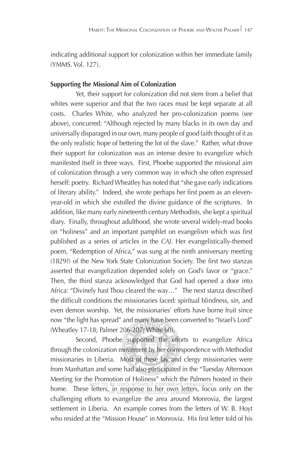indicating additional support for colonization within her immediate family (YMMS. Vol. 127).

## **Supporting the Missional Aim of Colonization**

Yet, their support for colonization did not stem from a belief that whites were superior and that the two races must be kept separate at all costs. Charles White, who analyzed her pro-colonization poems (see above), concurred: "Although rejected by many blacks in its own day and universally disparaged in our own, many people of good faith thought of it as the only realistic hope of bettering the lot of the slave." Rather, what drove their support for colonization was an intense desire to evangelize which manifested itself in three ways. First, Phoebe supported the missional aim of colonization through a very common way in which she often expressed herself: poetry. Richard Wheatley has noted that "she gave early indications of literary ability." Indeed, she wrote perhaps her first poem as an elevenyear-old in which she extolled the divine guidance of the scriptures. In addition, like many early nineteenth century Methodists, she kept a spiritual diary. Finally, throughout adulthood, she wrote several widely-read books on "holiness" and an important pamphlet on evangelism which was first published as a series of articles in the *CAJ*. Her evangelistically-themed poem, "Redemption of Africa," was sung at the ninth anniversary meeting (1829?) of the New York State Colonization Society. The first two stanzas asserted that evangelization depended solely on God's favor or "grace." Then, the third stanza acknowledged that God had opened a door into Africa: "Divinely hast Thou cleared the way…" The next stanza described the difficult conditions the missionaries faced: spiritual blindness, sin, and even demon worship. Yet, the missionaries' efforts have borne fruit since now "the light has spread" and many have been converted to "Israel's Lord" (Wheatley 17-18; Palmer 206-207; White 60).

Second, Phoebe supported the efforts to evangelize Africa through the colonization movement by her correspondence with Methodist missionaries in Liberia. Most of these lay and clergy missionaries were from Manhattan and some had also participated in the "Tuesday Afternoon Meeting for the Promotion of Holiness" which the Palmers hosted in their home. These letters, in response to her own letters, focus only on the challenging efforts to evangelize the area around Monrovia, the largest settlement in Liberia. An example comes from the letters of W. B. Hoyt who resided at the "Mission House" in Monrovia. His first letter told of his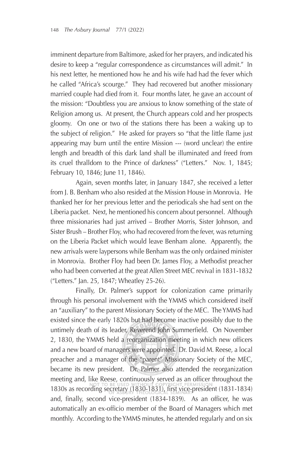imminent departure from Baltimore, asked for her prayers, and indicated his desire to keep a "regular correspondence as circumstances will admit." In his next letter, he mentioned how he and his wife had had the fever which he called "Africa's scourge." They had recovered but another missionary married couple had died from it. Four months later, he gave an account of the mission: "Doubtless you are anxious to know something of the state of Religion among us. At present, the Church appears cold and her prospects gloomy. On one or two of the stations there has been a waking up to the subject of religion." He asked for prayers so "that the little flame just appearing may burn until the entire Mission --- (word unclear) the entire length and breadth of this dark land shall be illuminated and freed from its cruel thralldom to the Prince of darkness" ("Letters." Nov. 1, 1845; February 10, 1846; June 11, 1846).

Again, seven months later, in January 1847, she received a letter from J. B. Benham who also resided at the Mission House in Monrovia. He thanked her for her previous letter and the periodicals she had sent on the Liberia packet. Next, he mentioned his concern about personnel. Although three missionaries had just arrived – Brother Morris, Sister Johnson, and Sister Brush – Brother Floy, who had recovered from the fever, was returning on the Liberia Packet which would leave Benham alone. Apparently, the new arrivals were laypersons while Benham was the only ordained minister in Monrovia. Brother Floy had been Dr. James Floy, a Methodist preacher who had been converted at the great Allen Street MEC revival in 1831-1832 ("Letters." Jan. 25, 1847; Wheatley 25-26).

Finally, Dr. Palmer's support for colonization came primarily through his personal involvement with the YMMS which considered itself an "auxiliary" to the parent Missionary Society of the MEC. The YMMS had existed since the early 1820s but had become inactive possibly due to the untimely death of its leader, Reverend John Summerfield. On November 2, 1830, the YMMS held a reorganization meeting in which new officers and a new board of managers were appointed. Dr. David M. Reese, a local preacher and a manager of the "parent" Missionary Society of the MEC, became its new president. Dr. Palmer also attended the reorganization meeting and, like Reese, continuously served as an officer throughout the 1830s as recording secretary (1830-1831), first vice-president (1831-1834) and, finally, second vice-president (1834-1839). As an officer, he was automatically an ex-officio member of the Board of Managers which met monthly. According to the YMMS minutes, he attended regularly and on six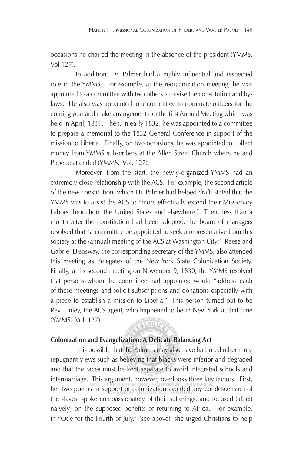occasions he chaired the meeting in the absence of the president (YMMS. Vol 127).

In addition, Dr. Palmer had a highly influential and respected role in the YMMS. For example, at the reorganization meeting, he was appointed to a committee with two others to revise the constitution and bylaws. He also was appointed to a committee to nominate officers for the coming year and make arrangements for the first Annual Meeting which was held in April, 1831. Then, in early 1832, he was appointed to a committee to prepare a memorial to the 1832 General Conference in support of the mission to Liberia. Finally, on two occasions, he was appointed to collect money from YMMS subscribers at the Allen Street Church where he and Phoebe attended (YMMS. Vol. 127).

Moreover, from the start, the newly-organized YMMS had an extremely close relationship with the ACS. For example, the second article of the new constitution, which Dr. Palmer had helped draft, stated that the YMMS was to assist the ACS to "more effectually extend their Missionary Labors throughout the United States and elsewhere." Then, less than a month after the constitution had been adopted, the board of managers resolved that "a committee be appointed to seek a representative from this society at the (annual) meeting of the ACS at Washington City." Reese and Gabriel Disosway, the corresponding secretary of the YMMS, also attended this meeting as delegates of the New York State Colonization Society. Finally, at its second meeting on November 9, 1830, the YMMS resolved that persons whom the committee had appointed would "address each of these meetings and solicit subscriptions and donations especially with a piece to establish a mission to Liberia." This person turned out to be Rev. Finley, the ACS agent, who happened to be in New York at that time (YMMS. Vol. 127).

# **61.0GTA**

# **Colonization and Evangelization: A Delicate Balancing Act**

It is possible that the Palmers may also have harbored other more repugnant views such as believing that blacks were inferior and degraded and that the races must be kept separate to avoid integrated schools and intermarriage. This argument, however, overlooks three key factors. First, her two poems in support of colonization avoided any condescension of the slaves, spoke compassionately of their sufferings, and focused (albeit naively) on the supposed benefits of returning to Africa. For example, in "Ode for the Fourth of July," (see above), she urged Christians to help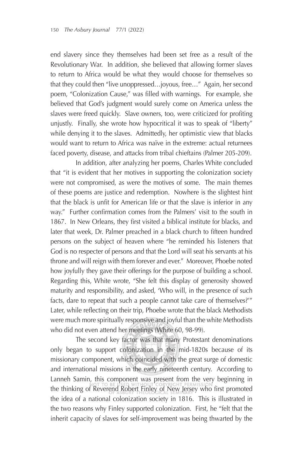end slavery since they themselves had been set free as a result of the Revolutionary War. In addition, she believed that allowing former slaves to return to Africa would be what they would choose for themselves so that they could then "live unoppressed…joyous, free…" Again, her second poem, "Colonization Cause," was filled with warnings. For example, she believed that God's judgment would surely come on America unless the slaves were freed quickly. Slave owners, too, were criticized for profiting unjustly. Finally, she wrote how hypocritical it was to speak of "liberty" while denying it to the slaves. Admittedly, her optimistic view that blacks would want to return to Africa was naïve in the extreme: actual returnees faced poverty, disease, and attacks from tribal chieftains (Palmer 205-209).

In addition, after analyzing her poems, Charles White concluded that "it is evident that her motives in supporting the colonization society were not compromised, as were the motives of some. The main themes of these poems are justice and redemption. Nowhere is the slightest hint that the black is unfit for American life or that the slave is inferior in any way." Further confirmation comes from the Palmers' visit to the south in 1867. In New Orleans, they first visited a biblical institute for blacks, and later that week, Dr. Palmer preached in a black church to fifteen hundred persons on the subject of heaven where "he reminded his listeners that God is no respecter of persons and that the Lord will seat his servants at his throne and will reign with them forever and ever." Moreover, Phoebe noted how joyfully they gave their offerings for the purpose of building a school. Regarding this, White wrote, "She felt this display of generosity showed maturity and responsibility, and asked, 'Who will, in the presence of such facts, dare to repeat that such a people cannot take care of themselves?'" Later, while reflecting on their trip, Phoebe wrote that the black Methodists were much more spiritually responsive and joyful than the white Methodists who did not even attend her meetings (White 60, 98-99).

The second key factor was that many Protestant denominations only began to support colonization in the mid-1820s because of its missionary component, which coincided with the great surge of domestic and international missions in the early nineteenth century. According to Lanneh Samin, this component was present from the very beginning in the thinking of Reverend Robert Finley of New Jersey who first promoted the idea of a national colonization society in 1816. This is illustrated in the two reasons why Finley supported colonization. First, he "felt that the inherit capacity of slaves for self-improvement was being thwarted by the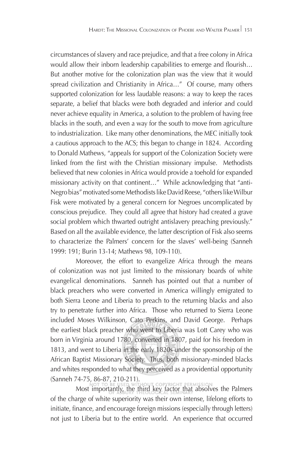circumstances of slavery and race prejudice, and that a free colony in Africa would allow their inborn leadership capabilities to emerge and flourish... But another motive for the colonization plan was the view that it would spread civilization and Christianity in Africa..." Of course, many others supported colonization for less laudable reasons: a way to keep the races separate, a belief that blacks were both degraded and inferior and could never achieve equality in America, a solution to the problem of having free blacks in the south, and even a way for the south to move from agriculture to industrialization. Like many other denominations, the MEC initially took a cautious approach to the ACS; this began to change in 1824. According to Donald Mathews, "appeals for support of the Colonization Society were linked from the first with the Christian missionary impulse. Methodists believed that new colonies in Africa would provide a toehold for expanded missionary activity on that continent…" While acknowledging that "anti-Negro bias" motivated some Methodists like David Reese, "others like Wilbur Fisk were motivated by a general concern for Negroes uncomplicated by conscious prejudice. They could all agree that history had created a grave social problem which thwarted outright antislavery preaching previously." Based on all the available evidence, the latter description of Fisk also seems to characterize the Palmers' concern for the slaves' well-being (Sanneh 1999: 191; Burin 13-14; Mathews 98, 109-110).

Moreover, the effort to evangelize Africa through the means of colonization was not just limited to the missionary boards of white evangelical denominations. Sanneh has pointed out that a number of black preachers who were converted in America willingly emigrated to both Sierra Leone and Liberia to preach to the returning blacks and also try to penetrate further into Africa. Those who returned to Sierra Leone included Moses Wilkinson, Cato Perkins, and David George. Perhaps the earliest black preacher who went to Liberia was Lott Carey who was born in Virginia around 1780, converted in 1807, paid for his freedom in 1813, and went to Liberia in the early 1820s under the sponsorship of the African Baptist Missionary Society. Thus, both missionary-minded blacks and whites responded to what they perceived as a providential opportunity (Sanneh 74-75, 86-87, 210-211).

Most importantly, the third key factor that absolves the Palmers of the charge of white superiority was their own intense, lifelong efforts to initiate, finance, and encourage foreign missions (especially through letters) not just to Liberia but to the entire world. An experience that occurred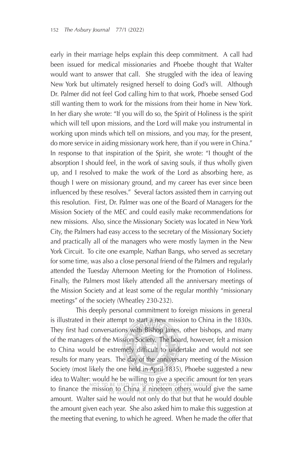early in their marriage helps explain this deep commitment. A call had been issued for medical missionaries and Phoebe thought that Walter would want to answer that call. She struggled with the idea of leaving New York but ultimately resigned herself to doing God's will. Although Dr. Palmer did not feel God calling him to that work, Phoebe sensed God still wanting them to work for the missions from their home in New York. In her diary she wrote: "If you will do so, the Spirit of Holiness is the spirit which will tell upon missions, and the Lord will make you instrumental in working upon minds which tell on missions, and you may, for the present, do more service in aiding missionary work here, than if you were in China." In response to that inspiration of the Spirit, she wrote: "I thought of the absorption I should feel, in the work of saving souls, if thus wholly given up, and I resolved to make the work of the Lord as absorbing here, as though I were on missionary ground, and my career has ever since been influenced by these resolves." Several factors assisted them in carrying out this resolution. First, Dr. Palmer was one of the Board of Managers for the Mission Society of the MEC and could easily make recommendations for new missions. Also, since the Missionary Society was located in New York City, the Palmers had easy access to the secretary of the Missionary Society and practically all of the managers who were mostly laymen in the New York Circuit. To cite one example, Nathan Bangs, who served as secretary for some time, was also a close personal friend of the Palmers and regularly attended the Tuesday Afternoon Meeting for the Promotion of Holiness. Finally, the Palmers most likely attended all the anniversary meetings of the Mission Society and at least some of the regular monthly "missionary meetings" of the society (Wheatley 230-232).

This deeply personal commitment to foreign missions in general is illustrated in their attempt to start a new mission to China in the 1830s. They first had conversations with Bishop Janes, other bishops, and many of the managers of the Mission Society. The board, however, felt a mission to China would be extremely difficult to undertake and would not see results for many years. The day of the anniversary meeting of the Mission Society (most likely the one held in April 1835), Phoebe suggested a new idea to Walter: would he be willing to give a specific amount for ten years to finance the mission to China if nineteen others would give the same amount. Walter said he would not only do that but that he would double the amount given each year. She also asked him to make this suggestion at the meeting that evening, to which he agreed. When he made the offer that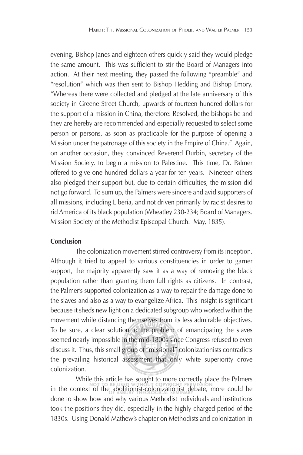evening, Bishop Janes and eighteen others quickly said they would pledge the same amount. This was sufficient to stir the Board of Managers into action. At their next meeting, they passed the following "preamble" and "resolution" which was then sent to Bishop Hedding and Bishop Emory. "Whereas there were collected and pledged at the late anniversary of this society in Greene Street Church, upwards of fourteen hundred dollars for the support of a mission in China, therefore: Resolved, the bishops be and they are hereby are recommended and especially requested to select some person or persons, as soon as practicable for the purpose of opening a Mission under the patronage of this society in the Empire of China." Again, on another occasion, they convinced Reverend Durbin, secretary of the Mission Society, to begin a mission to Palestine. This time, Dr. Palmer offered to give one hundred dollars a year for ten years. Nineteen others also pledged their support but, due to certain difficulties, the mission did not go forward. To sum up, the Palmers were sincere and avid supporters of all missions, including Liberia, and not driven primarily by racist desires to rid America of its black population (Wheatley 230-234; Board of Managers. Mission Society of the Methodist Episcopal Church. May, 1835).

## **Conclusion**

The colonization movement stirred controversy from its inception. Although it tried to appeal to various constituencies in order to garner support, the majority apparently saw it as a way of removing the black population rather than granting them full rights as citizens. In contrast, the Palmer's supported colonization as a way to repair the damage done to the slaves and also as a way to evangelize Africa. This insight is significant because it sheds new light on a dedicated subgroup who worked within the movement while distancing themselves from its less admirable objectives. To be sure, a clear solution to the problem of emancipating the slaves seemed nearly impossible in the mid-1800s since Congress refused to even discuss it. Thus, this small group of "missional" colonizationists contradicts the prevailing historical assessment that only white superiority drove colonization.

While this article has sought to more correctly place the Palmers in the context of the abolitionist-colonizationist debate, more could be done to show how and why various Methodist individuals and institutions took the positions they did, especially in the highly charged period of the 1830s. Using Donald Mathew's chapter on Methodists and colonization in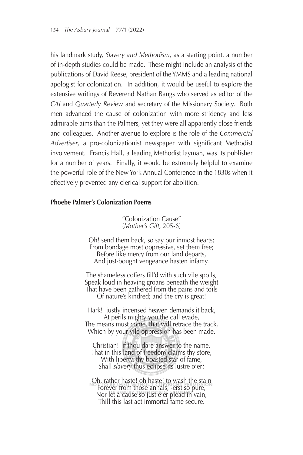his landmark study, *Slavery and Methodism*, as a starting point, a number of in-depth studies could be made. These might include an analysis of the publications of David Reese, president of the YMMS and a leading national apologist for colonization. In addition, it would be useful to explore the extensive writings of Reverend Nathan Bangs who served as editor of the *CAJ* and *Quarterly Review* and secretary of the Missionary Society. Both men advanced the cause of colonization with more stridency and less admirable aims than the Palmers, yet they were all apparently close friends and colleagues. Another avenue to explore is the role of the *Commercial*  Advertiser, a pro-colonizationist newspaper with significant Methodist involvement. Francis Hall, a leading Methodist layman, was its publisher for a number of years. Finally, it would be extremely helpful to examine the powerful role of the New York Annual Conference in the 1830s when it effectively prevented any clerical support for abolition.

#### **Phoebe Palmer's Colonization Poems**

"Colonization Cause" (*Mother's Gift,* 205-6)

Oh! send them back, so say our inmost hearts; From bondage most oppressive, set them free; Before like mercy from our land departs, And just-bought vengeance hasten infamy.

The shameless coffers fill'd with such vile spoils, Speak loud in heaving groans beneath the weight That have been gathered from the pains and toils Of nature's kindred; and the cry is great!

Hark! justly incensed heaven demands it back, At perils mighty you the call evade, The means must come, that will retrace the track, Which by your vile oppression has been made.

Christian! if thou dare answer to the name, That in this land of freedom claims thy store, With liberty, thy boasted star of fame, Shall *slavery* thus eclipse its lustre o'er?

Oh, rather haste! oh haste! to wash the stain Forever from those annals; -erst so pure, Nor let a cause so just e'er plead in vain, Thill this last act immortal fame secure.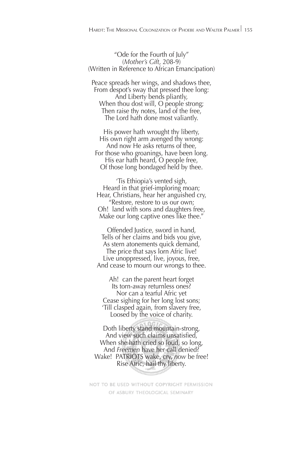"Ode for the Fourth of July" (*Mother's Gift*, 208-9) (Written in Reference to African Emancipation)

Peace spreads her wings, and shadows thee, From despot's sway that pressed thee long: And Liberty bends pliantly, When thou dost will, O people strong; Then raise thy notes, land of the free, The Lord hath done most valiantly.

His power hath wrought thy liberty, His own right arm avenged thy wrong: And now He asks returns of thee, For those who groanings, have been long. His ear hath heard, O people free, Of those long bondaged held by thee.

'Tis Ethiopia's vented sigh, Heard in that grief-imploring moan; Hear, Christians, hear her anguished cry, "Restore, restore to us our own; Oh! land with sons and daughters free, Make our long captive ones like thee."

Offended Justice, sword in hand, Tells of her claims and bids you give, As stern atonements quick demand, The price that says lorn Afric live! Live unoppressed, live, joyous, free, And cease to mourn our wrongs to thee.

Ah! can the parent heart forget Its torn-away returnless ones? Nor can a tearful Afric yet Cease sighing for her long lost sons; 'Till clasped again, from slavery free, Loosed by the voice of charity.

Doth liberty stand mountain-strong, And view such claims unsatisfied, When she hath cried so loud, so long, And *Freemen* have her call denied? Wake! PATRIOTS wake, cry, *now* be free! Rise Afric, hail thy liberty.

NOT TO BE USED WITHOUT COPYRIGHT PERMISSION OF ASBURY THEOLOGICAL SEMINARY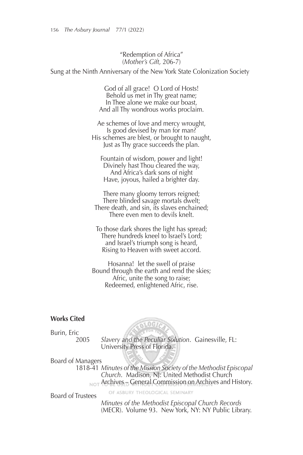#### "Redemption of Africa" (*Mother's Gift,* 206-7)

Sung at the Ninth Anniversary of the New York State Colonization Society

God of all grace! O Lord of Hosts! Behold us met in Thy great name; In Thee alone we make our boast, And all Thy wondrous works proclaim.

Ae schemes of love and mercy wrought, Is good devised by man for man? His schemes are blest, or brought to naught, Just as Thy grace succeeds the plan.

Fountain of wisdom, power and light! Divinely hast Thou cleared the way, And Africa's dark sons of night Have, joyous, hailed a brighter day.

There many gloomy terrors reigned; There blinded savage mortals dwelt; There death, and sin, its slaves enchained; There even men to devils knelt.

To those dark shores the light has spread; There hundreds kneel to Israel's Lord; and Israel's triumph song is heard, Rising to Heaven with sweet accord.

Hosanna! let the swell of praise Bound through the earth and rend the skies; Afric, unite the song to raise; Redeemed, enlightened Afric, rise.

**RLOGIA** 

OF ASBURY THEOLOGICAL SEMINARY

#### **Works Cited**

Burin, Eric

2005 *Slavery and the Peculiar Solution*. Gainesville, FL: University Press of Florida.

Board of Managers

1818-41 *Minutes of the Mission Society of the Methodist Episcopal Church*. Madison, NJ: United Methodist Church  $_{\text{NOT}}$  Archives – General Commission on Archives and History.

Board of Trustees

 *Minutes of the Methodist Episcopal Church Records* (MECR). Volume 93. New York, NY: NY Public Library.